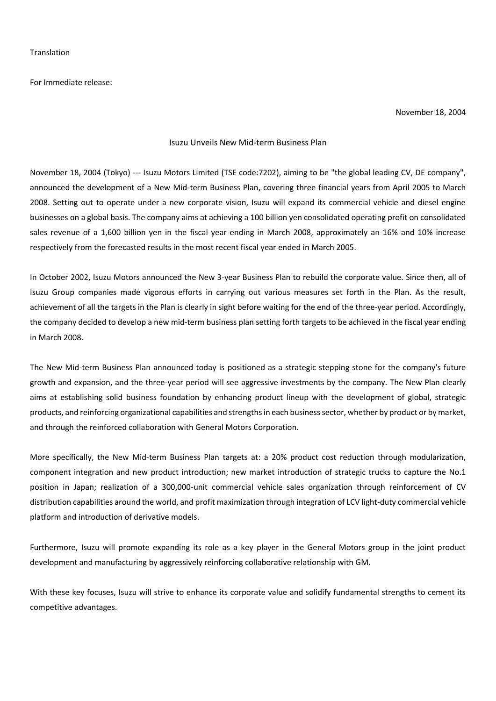For Immediate release:

November 18, 2004

## Isuzu Unveils New Mid-term Business Plan

November 18, 2004 (Tokyo) --- Isuzu Motors Limited (TSE code:7202), aiming to be "the global leading CV, DE company", announced the development of a New Mid-term Business Plan, covering three financial years from April 2005 to March 2008. Setting out to operate under a new corporate vision, Isuzu will expand its commercial vehicle and diesel engine businesses on a global basis. The company aims at achieving a 100 billion yen consolidated operating profit on consolidated sales revenue of a 1,600 billion yen in the fiscal year ending in March 2008, approximately an 16% and 10% increase respectively from the forecasted results in the most recent fiscal year ended in March 2005.

In October 2002, Isuzu Motors announced the New 3-year Business Plan to rebuild the corporate value. Since then, all of Isuzu Group companies made vigorous efforts in carrying out various measures set forth in the Plan. As the result, achievement of all the targets in the Plan is clearly in sight before waiting for the end of the three-year period. Accordingly, the company decided to develop a new mid-term business plan setting forth targets to be achieved in the fiscal year ending in March 2008.

The New Mid-term Business Plan announced today is positioned as a strategic stepping stone for the company's future growth and expansion, and the three-year period will see aggressive investments by the company. The New Plan clearly aims at establishing solid business foundation by enhancing product lineup with the development of global, strategic products, and reinforcing organizational capabilities and strengths in each business sector, whether by product or by market, and through the reinforced collaboration with General Motors Corporation.

More specifically, the New Mid-term Business Plan targets at: a 20% product cost reduction through modularization, component integration and new product introduction; new market introduction of strategic trucks to capture the No.1 position in Japan; realization of a 300,000-unit commercial vehicle sales organization through reinforcement of CV distribution capabilities around the world, and profit maximization through integration of LCV light-duty commercial vehicle platform and introduction of derivative models.

Furthermore, Isuzu will promote expanding its role as a key player in the General Motors group in the joint product development and manufacturing by aggressively reinforcing collaborative relationship with GM.

With these key focuses, Isuzu will strive to enhance its corporate value and solidify fundamental strengths to cement its competitive advantages.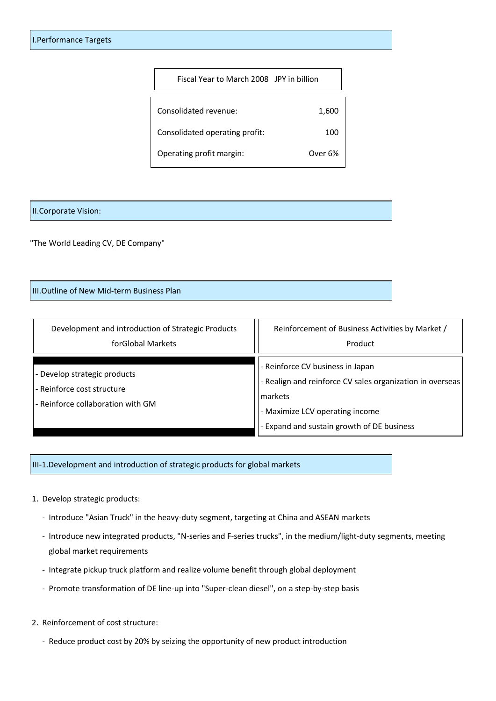| Fiscal Year to March 2008 JPY in billion |         |
|------------------------------------------|---------|
| Consolidated revenue:                    | 1,600   |
| Consolidated operating profit:           | 100     |
| Operating profit margin:                 | Over 6% |

## II.Corporate Vision:

"The World Leading CV, DE Company"

III.Outline of New Mid-term Business Plan

Development and introduction of Strategic Products forGlobal Markets Reinforcement of Business Activities by Market / Product - Develop strategic products - Reinforce cost structure - Reinforce collaboration with GM - Reinforce CV business in Japan - Realign and reinforce CV sales organization in overseas markets - Maximize LCV operating income - Expand and sustain growth of DE business

III-1.Development and introduction of strategic products for global markets

- 1. Develop strategic products:
	- Introduce "Asian Truck" in the heavy-duty segment, targeting at China and ASEAN markets
	- Introduce new integrated products, "N-series and F-series trucks", in the medium/light-duty segments, meeting global market requirements
	- Integrate pickup truck platform and realize volume benefit through global deployment
	- Promote transformation of DE line-up into "Super-clean diesel", on a step-by-step basis
- 2. Reinforcement of cost structure:
	- Reduce product cost by 20% by seizing the opportunity of new product introduction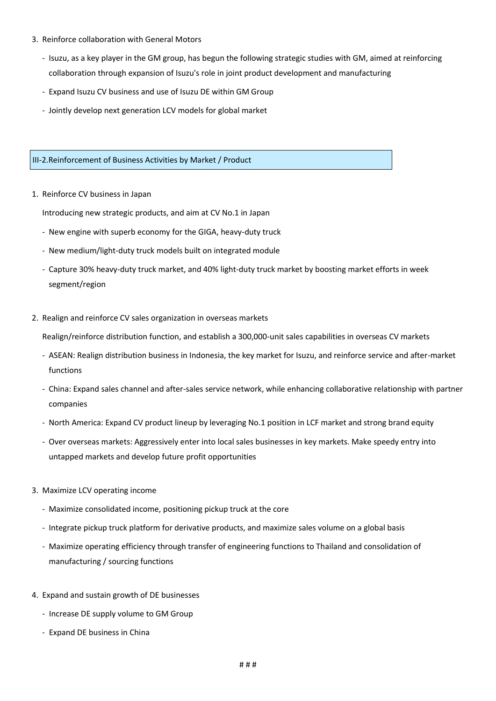- 3. Reinforce collaboration with General Motors
	- Isuzu, as a key player in the GM group, has begun the following strategic studies with GM, aimed at reinforcing collaboration through expansion of Isuzu's role in joint product development and manufacturing
	- Expand Isuzu CV business and use of Isuzu DE within GM Group
	- Jointly develop next generation LCV models for global market

III-2.Reinforcement of Business Activities by Market / Product

1. Reinforce CV business in Japan

Introducing new strategic products, and aim at CV No.1 in Japan

- New engine with superb economy for the GIGA, heavy-duty truck
- New medium/light-duty truck models built on integrated module
- Capture 30% heavy-duty truck market, and 40% light-duty truck market by boosting market efforts in week segment/region
- 2. Realign and reinforce CV sales organization in overseas markets

Realign/reinforce distribution function, and establish a 300,000-unit sales capabilities in overseas CV markets

- ASEAN: Realign distribution business in Indonesia, the key market for Isuzu, and reinforce service and after-market functions
- China: Expand sales channel and after-sales service network, while enhancing collaborative relationship with partner companies
- North America: Expand CV product lineup by leveraging No.1 position in LCF market and strong brand equity
- Over overseas markets: Aggressively enter into local sales businesses in key markets. Make speedy entry into untapped markets and develop future profit opportunities
- 3. Maximize LCV operating income
	- Maximize consolidated income, positioning pickup truck at the core
	- Integrate pickup truck platform for derivative products, and maximize sales volume on a global basis
	- Maximize operating efficiency through transfer of engineering functions to Thailand and consolidation of manufacturing / sourcing functions
- 4. Expand and sustain growth of DE businesses
	- Increase DE supply volume to GM Group
	- Expand DE business in China